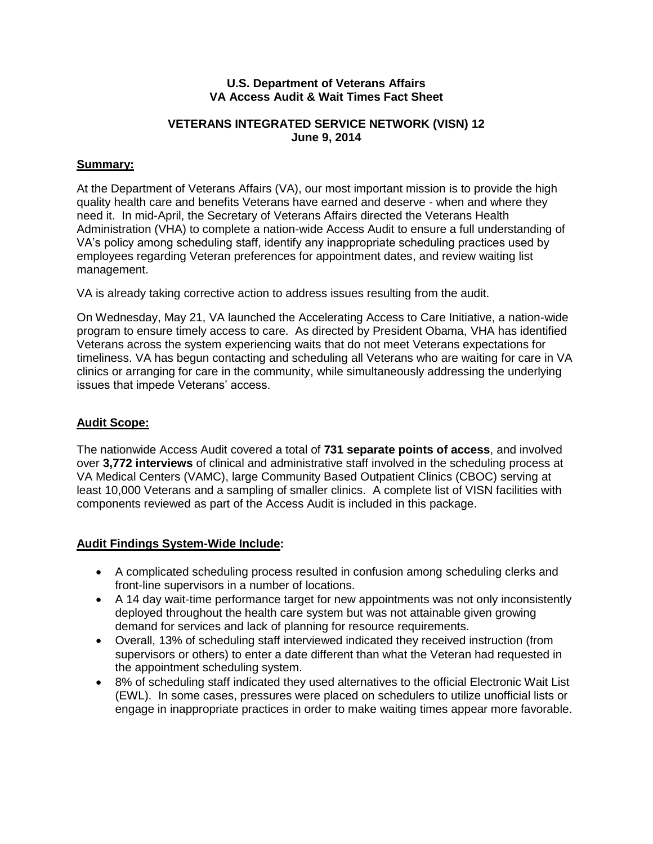#### **U.S. Department of Veterans Affairs VA Access Audit & Wait Times Fact Sheet**

# **VETERANS INTEGRATED SERVICE NETWORK (VISN) 12 June 9, 2014**

# **Summary:**

At the Department of Veterans Affairs (VA), our most important mission is to provide the high quality health care and benefits Veterans have earned and deserve - when and where they need it. In mid-April, the Secretary of Veterans Affairs directed the Veterans Health Administration (VHA) to complete a nation-wide Access Audit to ensure a full understanding of VA's policy among scheduling staff, identify any inappropriate scheduling practices used by employees regarding Veteran preferences for appointment dates, and review waiting list management.

VA is already taking corrective action to address issues resulting from the audit.

On Wednesday, May 21, VA launched the Accelerating Access to Care Initiative, a nation-wide program to ensure timely access to care. As directed by President Obama, VHA has identified Veterans across the system experiencing waits that do not meet Veterans expectations for timeliness. VA has begun contacting and scheduling all Veterans who are waiting for care in VA clinics or arranging for care in the community, while simultaneously addressing the underlying issues that impede Veterans' access.

#### **Audit Scope:**

The nationwide Access Audit covered a total of **731 separate points of access**, and involved over **3,772 interviews** of clinical and administrative staff involved in the scheduling process at VA Medical Centers (VAMC), large Community Based Outpatient Clinics (CBOC) serving at least 10,000 Veterans and a sampling of smaller clinics. A complete list of VISN facilities with components reviewed as part of the Access Audit is included in this package.

# **Audit Findings System-Wide Include:**

- A complicated scheduling process resulted in confusion among scheduling clerks and front-line supervisors in a number of locations.
- A 14 day wait-time performance target for new appointments was not only inconsistently deployed throughout the health care system but was not attainable given growing demand for services and lack of planning for resource requirements.
- Overall, 13% of scheduling staff interviewed indicated they received instruction (from supervisors or others) to enter a date different than what the Veteran had requested in the appointment scheduling system.
- 8% of scheduling staff indicated they used alternatives to the official Electronic Wait List (EWL). In some cases, pressures were placed on schedulers to utilize unofficial lists or engage in inappropriate practices in order to make waiting times appear more favorable.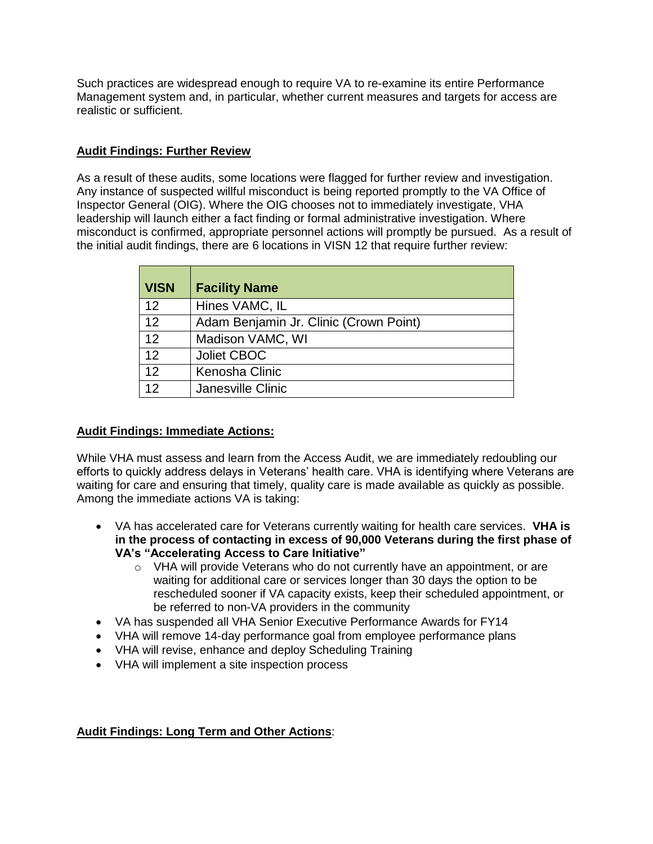Such practices are widespread enough to require VA to re-examine its entire Performance Management system and, in particular, whether current measures and targets for access are realistic or sufficient.

# **Audit Findings: Further Review**

As a result of these audits, some locations were flagged for further review and investigation. Any instance of suspected willful misconduct is being reported promptly to the VA Office of Inspector General (OIG). Where the OIG chooses not to immediately investigate, VHA leadership will launch either a fact finding or formal administrative investigation. Where misconduct is confirmed, appropriate personnel actions will promptly be pursued. As a result of the initial audit findings, there are 6 locations in VISN 12 that require further review:

| <b>VISN</b> | <b>Facility Name</b>                   |
|-------------|----------------------------------------|
| 12          | Hines VAMC, IL                         |
| 12          | Adam Benjamin Jr. Clinic (Crown Point) |
| 12          | Madison VAMC, WI                       |
| 12          | <b>Joliet CBOC</b>                     |
| 12          | Kenosha Clinic                         |
| 12          | Janesville Clinic                      |

# **Audit Findings: Immediate Actions:**

While VHA must assess and learn from the Access Audit, we are immediately redoubling our efforts to quickly address delays in Veterans' health care. VHA is identifying where Veterans are waiting for care and ensuring that timely, quality care is made available as quickly as possible. Among the immediate actions VA is taking:

- VA has accelerated care for Veterans currently waiting for health care services. **VHA is in the process of contacting in excess of 90,000 Veterans during the first phase of VA's "Accelerating Access to Care Initiative"**
	- o VHA will provide Veterans who do not currently have an appointment, or are waiting for additional care or services longer than 30 days the option to be rescheduled sooner if VA capacity exists, keep their scheduled appointment, or be referred to non-VA providers in the community
- VA has suspended all VHA Senior Executive Performance Awards for FY14
- VHA will remove 14-day performance goal from employee performance plans
- VHA will revise, enhance and deploy Scheduling Training
- VHA will implement a site inspection process

# **Audit Findings: Long Term and Other Actions**: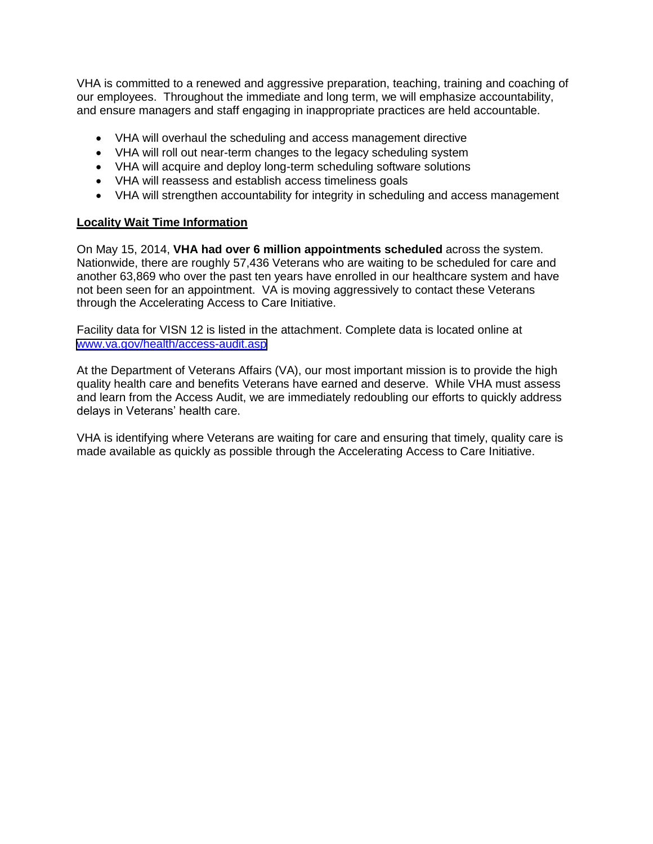VHA is committed to a renewed and aggressive preparation, teaching, training and coaching of our employees. Throughout the immediate and long term, we will emphasize accountability, and ensure managers and staff engaging in inappropriate practices are held accountable.

- VHA will overhaul the scheduling and access management directive
- VHA will roll out near-term changes to the legacy scheduling system
- VHA will acquire and deploy long-term scheduling software solutions
- VHA will reassess and establish access timeliness goals
- VHA will strengthen accountability for integrity in scheduling and access management

# **Locality Wait Time Information**

 On May 15, 2014, **VHA had over 6 million appointments scheduled** across the system. Nationwide, there are roughly 57,436 Veterans who are waiting to be scheduled for care and another 63,869 who over the past ten years have enrolled in our healthcare system and have not been seen for an appointment. VA is moving aggressively to contact these Veterans through the Accelerating Access to Care Initiative.

 Facility data for VISN 12 is listed in the attachment. Complete data is located online at [www.va.gov/health/access-audit.asp](https://www.va.gov/health/access-audit.asp)

 At the Department of Veterans Affairs (VA), our most important mission is to provide the high quality health care and benefits Veterans have earned and deserve. While VHA must assess and learn from the Access Audit, we are immediately redoubling our efforts to quickly address delays in Veterans' health care.

 VHA is identifying where Veterans are waiting for care and ensuring that timely, quality care is made available as quickly as possible through the Accelerating Access to Care Initiative.